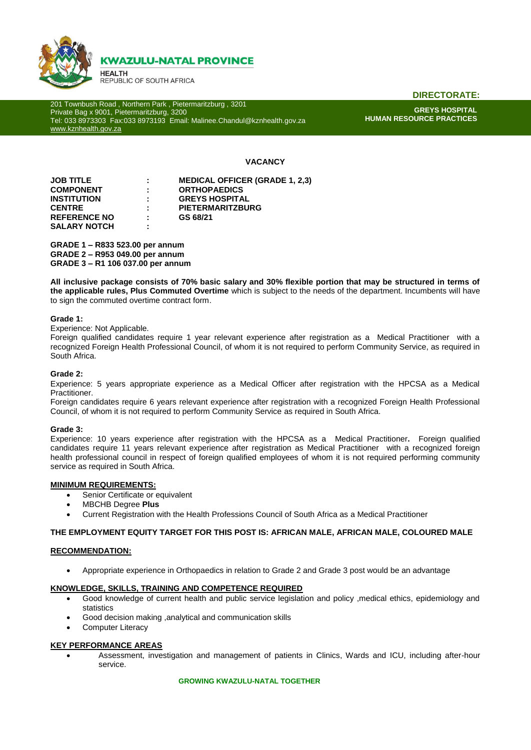

**DIRECTORATE:**

201 Townbush Road , Northern Park , Pietermaritzburg , 3201 Private Bag x 9001, Pietermaritzburg, 3200 Tel: 033 8973303 Fax:033 8973193 Email: Malinee.Chandul@kznhealth.gov.za [www.kznhealth.gov.za](http://www.kznhealth.gov.za/)

**GREYS HOSPITAL HUMAN RESOURCE PRACTICES**

# **VACANCY**

| <b>JOB TITLE</b>    | t. | <b>MEDICAL OFFICER (GRADE 1, 2,3)</b> |
|---------------------|----|---------------------------------------|
| <b>COMPONENT</b>    | ÷  | <b>ORTHOPAEDICS</b>                   |
| <b>INSTITUTION</b>  | ÷  | <b>GREYS HOSPITAL</b>                 |
| <b>CENTRE</b>       | ÷. | <b>PIETERMARITZBURG</b>               |
| <b>REFERENCE NO</b> | ÷. | GS 68/21                              |
| <b>SALARY NOTCH</b> | ٠  |                                       |

**GRADE 1 – R833 523.00 per annum GRADE 2 – R953 049.00 per annum GRADE 3 – R1 106 037.00 per annum** 

**All inclusive package consists of 70% basic salary and 30% flexible portion that may be structured in terms of the applicable rules, Plus Commuted Overtime** which is subject to the needs of the department. Incumbents will have to sign the commuted overtime contract form.

## **Grade 1:**

Experience: Not Applicable.

Foreign qualified candidates require 1 year relevant experience after registration as a Medical Practitioner with a recognized Foreign Health Professional Council, of whom it is not required to perform Community Service, as required in South Africa.

## **Grade 2:**

Experience: 5 years appropriate experience as a Medical Officer after registration with the HPCSA as a Medical Practitioner.

Foreign candidates require 6 years relevant experience after registration with a recognized Foreign Health Professional Council, of whom it is not required to perform Community Service as required in South Africa.

#### **Grade 3:**

Experience: 10 years experience after registration with the HPCSA as a Medical Practitioner**.** Foreign qualified candidates require 11 years relevant experience after registration as Medical Practitioner with a recognized foreign health professional council in respect of foreign qualified employees of whom it is not required performing community service as required in South Africa.

#### **MINIMUM REQUIREMENTS:**

- Senior Certificate or equivalent
- MBCHB Degree **Plus**
- Current Registration with the Health Professions Council of South Africa as a Medical Practitioner

## **THE EMPLOYMENT EQUITY TARGET FOR THIS POST IS: AFRICAN MALE, AFRICAN MALE, COLOURED MALE**

#### **RECOMMENDATION:**

Appropriate experience in Orthopaedics in relation to Grade 2 and Grade 3 post would be an advantage

#### **KNOWLEDGE, SKILLS, TRAINING AND COMPETENCE REQUIRED**

- Good knowledge of current health and public service legislation and policy ,medical ethics, epidemiology and statistics
- Good decision making ,analytical and communication skills
- Computer Literacy

#### **KEY PERFORMANCE AREAS**

 Assessment, investigation and management of patients in Clinics, Wards and ICU, including after-hour service.

# **GROWING KWAZULU-NATAL TOGETHER**